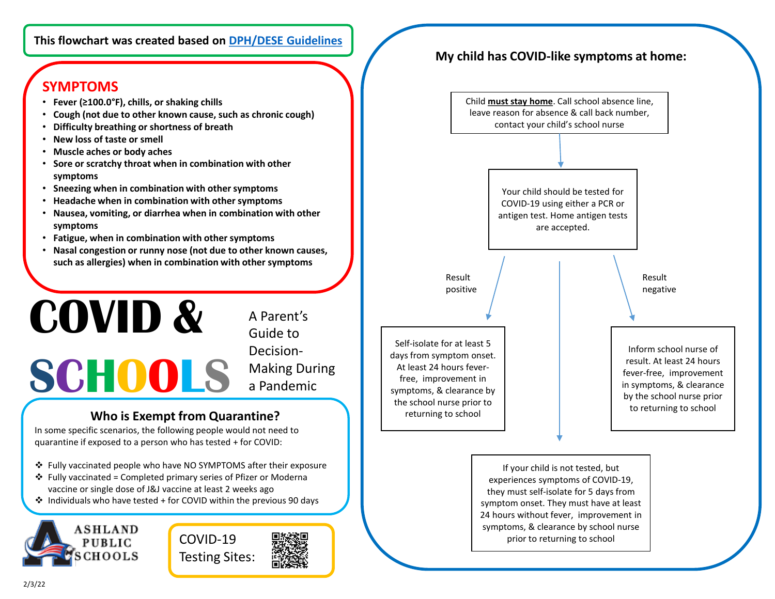#### **This flowchart was created based on [DPH/DESE Guidelines](https://www.doe.mass.edu/covid19/on-desktop/protocols/protocols.pdf)**

# **SYMPTOMS**

- **Fever (≥100.0°F), chills, or shaking chills**
- **Cough (not due to other known cause, such as chronic cough)**
- **Difficulty breathing or shortness of breath**
- **New loss of taste or smell**
- **Muscle aches or body aches**
- **Sore or scratchy throat when in combination with other symptoms**
- **Sneezing when in combination with other symptoms**
- **Headache when in combination with other symptoms**
- **Nausea, vomiting, or diarrhea when in combination with other symptoms**
- **Fatigue, when in combination with other symptoms**
- **Nasal congestion or runny nose (not due to other known causes, such as allergies) when in combination with other symptoms**

# **COVID & SCHOOLS**

A Parent's Guide to Decision-Making During a Pandemic

### **Who is Exempt from Quarantine?**

In some specific scenarios, the following people would not need to quarantine if exposed to a person who has tested + for COVID:

- Fully vaccinated people who have NO SYMPTOMS after their exposure
- $\cdot$  Fully vaccinated = Completed primary series of Pfizer or Moderna vaccine or single dose of J&J vaccine at least 2 weeks ago
- $\cdot$  Individuals who have tested + for COVID within the previous 90 days